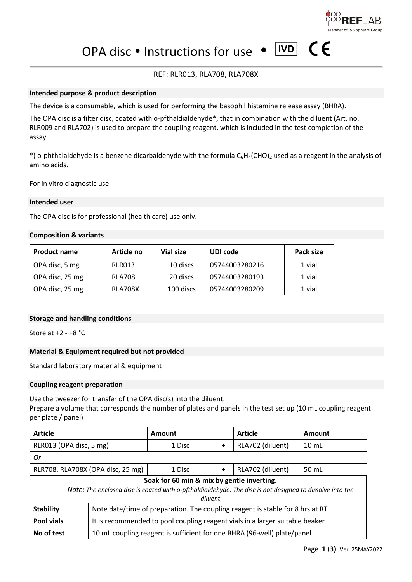

 $\epsilon$ 

 $\sqrt{\text{IVD}}$ 

OPA disc • Instructions for use •

# REF: RLR013, RLA708, RLA708X

## **Intended purpose & product description**

The device is a consumable, which is used for performing the basophil histamine release assay (BHRA).

The OPA disc is a filter disc, coated with o-pfthaldialdehyde\*, that in combination with the diluent (Art. no. RLR009 and RLA702) is used to prepare the coupling reagent, which is included in the test completion of the assay.

\*) o-phthalaldehyde is a benzene dicarbaldehyde with the formula C<sub>6</sub>H<sub>4</sub>(CHO)<sub>2</sub> used as a reagent in the analysis of amino acids.

For in vitro diagnostic use.

## **Intended user**

The OPA disc is for professional (health care) use only.

## **Composition & variants**

| <b>Product name</b> | Article no     | Vial size | UDI code       | Pack size |
|---------------------|----------------|-----------|----------------|-----------|
| OPA disc, 5 mg      | RLR013         | 10 discs  | 05744003280216 | 1 vial    |
| OPA disc, 25 mg     | <b>RLA708</b>  | 20 discs  | 05744003280193 | 1 vial    |
| OPA disc, 25 mg     | <b>RLA708X</b> | 100 discs | 05744003280209 | 1 vial    |

## **Storage and handling conditions**

Store at +2 - +8 °C

## **Material & Equipment required but not provided**

Standard laboratory material & equipment

## **Coupling reagent preparation**

Use the tweezer for transfer of the OPA disc(s) into the diluent. Prepare a volume that corresponds the number of plates and panels in the test set up (10 mL coupling reagent per plate / panel)

| <b>Article</b>                                                                                                                                                    |                                                                               | Amount |           | <b>Article</b>   | Amount             |
|-------------------------------------------------------------------------------------------------------------------------------------------------------------------|-------------------------------------------------------------------------------|--------|-----------|------------------|--------------------|
| RLR013 (OPA disc, 5 mg)                                                                                                                                           |                                                                               | 1 Disc | $\ddot{}$ | RLA702 (diluent) | $10 \, \text{m}$ L |
| 0r                                                                                                                                                                |                                                                               |        |           |                  |                    |
| RLR708, RLA708X (OPA disc, 25 mg)                                                                                                                                 |                                                                               | 1 Disc | $\ddot{}$ | RLA702 (diluent) | 50 mL              |
| Soak for 60 min & mix by gentle inverting.<br>Note: The enclosed disc is coated with o-pfthaldialdehyde. The disc is not designed to dissolve into the<br>diluent |                                                                               |        |           |                  |                    |
| <b>Stability</b>                                                                                                                                                  | Note date/time of preparation. The coupling reagent is stable for 8 hrs at RT |        |           |                  |                    |
| Pool vials                                                                                                                                                        | It is recommended to pool coupling reagent vials in a larger suitable beaker  |        |           |                  |                    |
| No of test                                                                                                                                                        | 10 mL coupling reagent is sufficient for one BHRA (96-well) plate/panel       |        |           |                  |                    |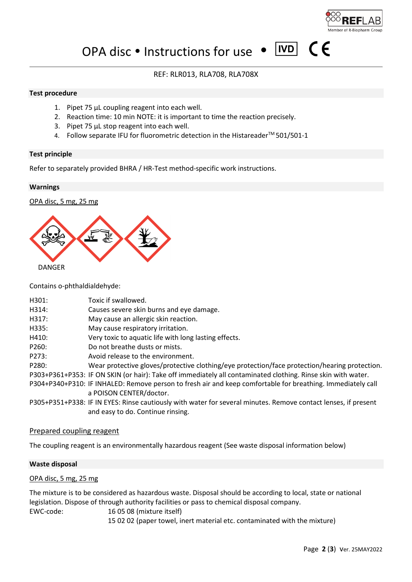

 $|ND|$ 

 $\epsilon$ 

OPA disc • Instructions for use •

# REF: RLR013, RLA708, RLA708X

## **Test procedure**

- 1. Pipet 75 µL coupling reagent into each well.
- 2. Reaction time: 10 min NOTE: it is important to time the reaction precisely.
- 3. Pipet 75 µL stop reagent into each well.
- 4. Follow separate IFU for fluorometric detection in the Histareader<sup>™</sup> 501/501-1

## **Test principle**

Refer to separately provided BHRA / HR-Test method-specific work instructions.

## **Warnings**

OPA disc, 5 mg, 25 mg



Contains o-phthaldialdehyde:

| H301: | Toxic if swallowed.                                                                                            |
|-------|----------------------------------------------------------------------------------------------------------------|
| H314: | Causes severe skin burns and eye damage.                                                                       |
| H317: | May cause an allergic skin reaction.                                                                           |
| H335: | May cause respiratory irritation.                                                                              |
| H410: | Very toxic to aquatic life with long lasting effects.                                                          |
| P260: | Do not breathe dusts or mists.                                                                                 |
| P273: | Avoid release to the environment.                                                                              |
| P280: | Wear protective gloves/protective clothing/eye protection/face protection/hearing protection.                  |
|       | P303+P361+P353: IF ON SKIN (or hair): Take off immediately all contaminated clothing. Rinse skin with water.   |
|       | P304+P340+P310: IF INHALED: Remove person to fresh air and keep comfortable for breathing. Immediately call    |
|       | a POISON CENTER/doctor.                                                                                        |
|       | P305+P351+P338: IF IN EYES: Rinse cautiously with water for several minutes. Remove contact lenses, if present |
|       | and easy to do. Continue rinsing.                                                                              |
|       |                                                                                                                |

## Prepared coupling reagent

The coupling reagent is an environmentally hazardous reagent (See waste disposal information below)

# **Waste disposal**

## OPA disc, 5 mg, 25 mg

The mixture is to be considered as hazardous waste. Disposal should be according to local, state or national legislation. Dispose of through authority facilities or pass to chemical disposal company. EWC-code:16 05 08 (mixture itself) 15 02 02 (paper towel, inert material etc. contaminated with the mixture)

Page **2** (**3**) ver. 25MAY2022